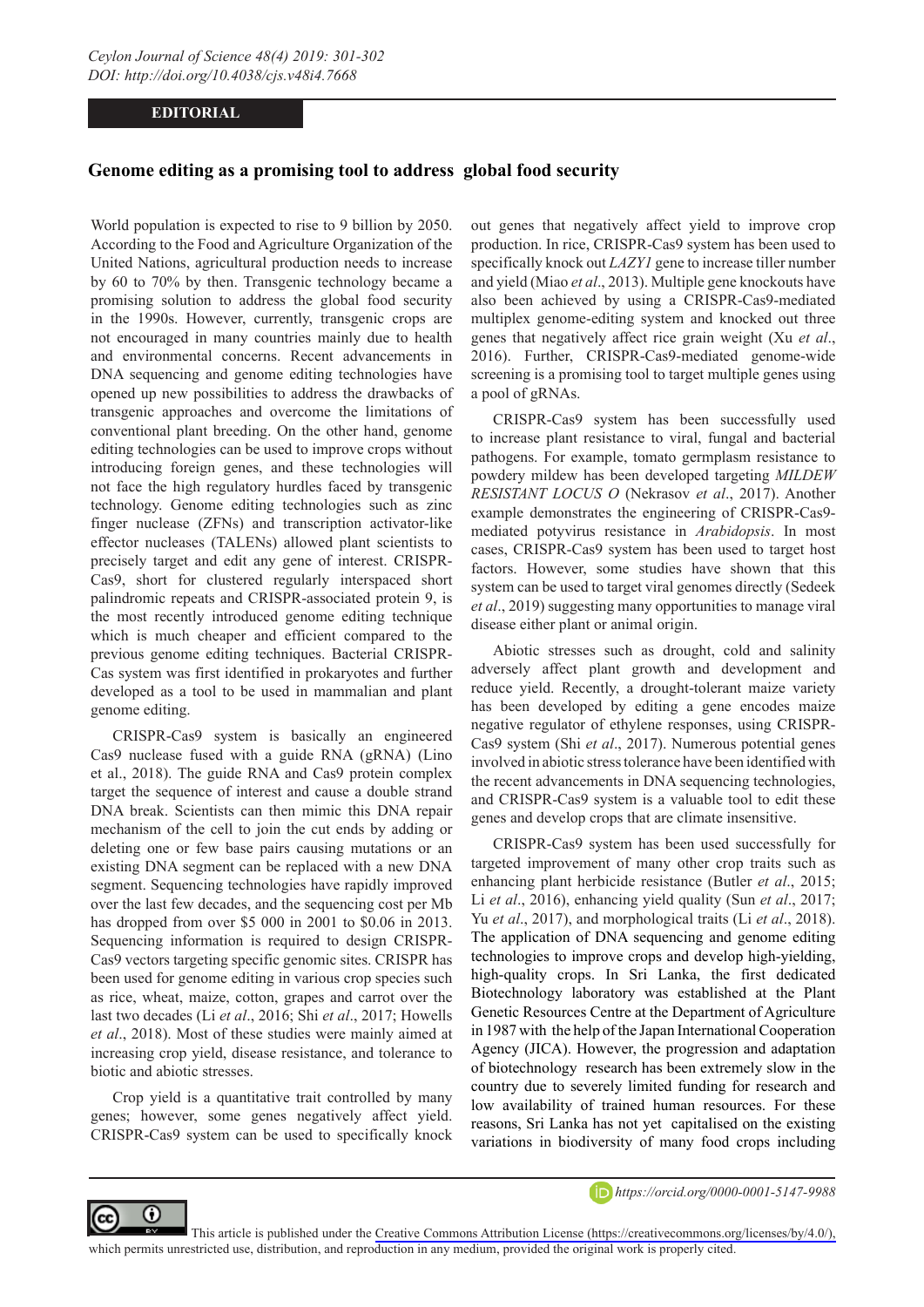## **EDITORIAL**

## **Genome editing as a promising tool to address global food security**

World population is expected to rise to 9 billion by 2050. According to the Food and Agriculture Organization of the United Nations, agricultural production needs to increase by 60 to 70% by then. Transgenic technology became a promising solution to address the global food security in the 1990s. However, currently, transgenic crops are not encouraged in many countries mainly due to health and environmental concerns. Recent advancements in DNA sequencing and genome editing technologies have opened up new possibilities to address the drawbacks of transgenic approaches and overcome the limitations of conventional plant breeding. On the other hand, genome editing technologies can be used to improve crops without introducing foreign genes, and these technologies will not face the high regulatory hurdles faced by transgenic technology. Genome editing technologies such as zinc finger nuclease (ZFNs) and transcription activator-like effector nucleases (TALENs) allowed plant scientists to precisely target and edit any gene of interest. CRISPR-Cas9, short for clustered regularly interspaced short palindromic repeats and CRISPR-associated protein 9, is the most recently introduced genome editing technique which is much cheaper and efficient compared to the previous genome editing techniques. Bacterial CRISPR-Cas system was first identified in prokaryotes and further developed as a tool to be used in mammalian and plant genome editing.

CRISPR-Cas9 system is basically an engineered Cas9 nuclease fused with a guide RNA (gRNA) (Lino et al., 2018). The guide RNA and Cas9 protein complex target the sequence of interest and cause a double strand DNA break. Scientists can then mimic this DNA repair mechanism of the cell to join the cut ends by adding or deleting one or few base pairs causing mutations or an existing DNA segment can be replaced with a new DNA segment. Sequencing technologies have rapidly improved over the last few decades, and the sequencing cost per Mb has dropped from over \$5 000 in 2001 to \$0.06 in 2013. Sequencing information is required to design CRISPR-Cas9 vectors targeting specific genomic sites. CRISPR has been used for genome editing in various crop species such as rice, wheat, maize, cotton, grapes and carrot over the last two decades (Li *et al*., 2016; Shi *et al*., 2017; Howells *et al*., 2018). Most of these studies were mainly aimed at increasing crop yield, disease resistance, and tolerance to biotic and abiotic stresses.

Crop yield is a quantitative trait controlled by many genes; however, some genes negatively affect yield. CRISPR-Cas9 system can be used to specifically knock

⋒

out genes that negatively affect yield to improve crop production. In rice, CRISPR-Cas9 system has been used to specifically knock out *LAZY1* gene to increase tiller number and yield (Miao *et al*., 2013). Multiple gene knockouts have also been achieved by using a CRISPR-Cas9-mediated multiplex genome-editing system and knocked out three genes that negatively affect rice grain weight (Xu *et al*., 2016). Further, CRISPR-Cas9-mediated genome-wide screening is a promising tool to target multiple genes using a pool of gRNAs.

CRISPR-Cas9 system has been successfully used to increase plant resistance to viral, fungal and bacterial pathogens. For example, tomato germplasm resistance to powdery mildew has been developed targeting *MILDEW RESISTANT LOCUS O* (Nekrasov *et al*., 2017). Another example demonstrates the engineering of CRISPR-Cas9 mediated potyvirus resistance in *Arabidopsis*. In most cases, CRISPR-Cas9 system has been used to target host factors. However, some studies have shown that this system can be used to target viral genomes directly (Sedeek *et al*., 2019) suggesting many opportunities to manage viral disease either plant or animal origin.

Abiotic stresses such as drought, cold and salinity adversely affect plant growth and development and reduce yield. Recently, a drought-tolerant maize variety has been developed by editing a gene encodes maize negative regulator of ethylene responses, using CRISPR-Cas9 system (Shi *et al*., 2017). Numerous potential genes involved in abiotic stress tolerance have been identified with the recent advancements in DNA sequencing technologies, and CRISPR-Cas9 system is a valuable tool to edit these genes and develop crops that are climate insensitive.

CRISPR-Cas9 system has been used successfully for targeted improvement of many other crop traits such as enhancing plant herbicide resistance (Butler *et al*., 2015; Li *et al*., 2016), enhancing yield quality (Sun *et al*., 2017; Yu *et al*., 2017), and morphological traits (Li *et al*., 2018). The application of DNA sequencing and genome editing technologies to improve crops and develop high-yielding, high-quality crops. In Sri Lanka, the first dedicated Biotechnology laboratory was established at the Plant Genetic Resources Centre at the Department of Agriculture in 1987 with the help of the Japan International Cooperation Agency (JICA). However, the progression and adaptation of biotechnology research has been extremely slow in the country due to severely limited funding for research and low availability of trained human resources. For these reasons, Sri Lanka has not yet capitalised on the existing variations in biodiversity of many food crops including



This article is published under the [Creative Commons Attribution License \(https://creativecommons.org/licenses/by/4.0/\),](https://creativecommons.org/licenses/by/4.0/)  which permits unrestricted use, distribution, and reproduction in any medium, provided the original work is properly cited.